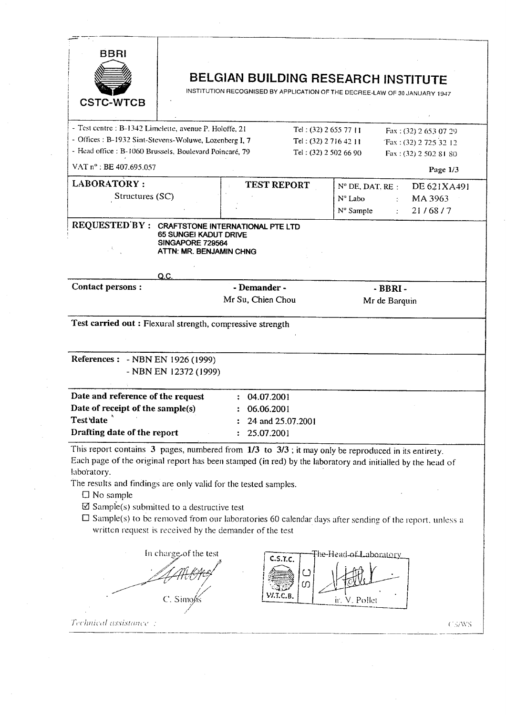| <b>BBRI</b><br><b>CSTC-WTCB</b>                                                                                                                                                                                            |                                                                             |                                                               |                                                                                                                                                      | BELGIAN BUILDING RESEARCH INSTITUTE<br>INSTITUTION RECOGNISED BY APPLICATION OF THE DECREE-LAW OF 30 JANUARY 1947                                                                                                                                                                                                                                                           |  |  |
|----------------------------------------------------------------------------------------------------------------------------------------------------------------------------------------------------------------------------|-----------------------------------------------------------------------------|---------------------------------------------------------------|------------------------------------------------------------------------------------------------------------------------------------------------------|-----------------------------------------------------------------------------------------------------------------------------------------------------------------------------------------------------------------------------------------------------------------------------------------------------------------------------------------------------------------------------|--|--|
| - Test centre : B-1342 Limelette, avenue P. Holoffe, 21<br>- Offices: B-1932 Sint-Stevens-Woluwe, Lozenberg I, 7<br>- Head office : B-1060 Brussels, Boulevard Poincaré, 79                                                |                                                                             |                                                               | Tel: (32) 2 655 77 11<br>Fax: (32) 2 653 07 29<br>Tel: $(32)$ 2 716 42 11<br>Fax: (32) 2 725 32 12<br>Tel: (32) 2 502 66 90<br>Fax: (32) 2 502 81 80 |                                                                                                                                                                                                                                                                                                                                                                             |  |  |
| VAT n° : BE 407.695.057                                                                                                                                                                                                    |                                                                             |                                                               |                                                                                                                                                      | Page 1/3                                                                                                                                                                                                                                                                                                                                                                    |  |  |
| <b>LABORATORY:</b><br>Structures (SC)                                                                                                                                                                                      |                                                                             | <b>TEST REPORT</b>                                            |                                                                                                                                                      | $N^{\circ}$ DE, DAT, RE :<br>DE 621XA491<br>Nº Labo<br>MA 3963<br>$\mathcal{D}^{\text{max}}$<br>N° Sample<br>21/68/7<br>$\mathbb{Z}^{n-1}$                                                                                                                                                                                                                                  |  |  |
| REQUESTED BY: CRAFTSTONE INTERNATIONAL PTE LTD                                                                                                                                                                             | <b>65 SUNGEI KADUT DRIVE</b><br>SINGAPORE 729564<br>ATTN: MR. BENJAMIN CHNG |                                                               |                                                                                                                                                      |                                                                                                                                                                                                                                                                                                                                                                             |  |  |
|                                                                                                                                                                                                                            | Q.C.                                                                        |                                                               |                                                                                                                                                      |                                                                                                                                                                                                                                                                                                                                                                             |  |  |
| Contact persons :                                                                                                                                                                                                          |                                                                             | - Demander -<br>Mr Su, Chien Chou                             |                                                                                                                                                      | $-BBRI -$<br>Mr de Barquin                                                                                                                                                                                                                                                                                                                                                  |  |  |
| Test carried out: Flexural strength, compressive strength<br>References: - NBN EN 1926 (1999)                                                                                                                              | - NBN EN 12372 (1999)                                                       |                                                               |                                                                                                                                                      |                                                                                                                                                                                                                                                                                                                                                                             |  |  |
| Date and reference of the request<br>Date of receipt of the sample(s)<br>Test date<br>Drafting date of the report                                                                                                          |                                                                             | : 04.07.2001<br>06.06.2001<br>24 and 25.07.2001<br>25.07.2001 |                                                                                                                                                      |                                                                                                                                                                                                                                                                                                                                                                             |  |  |
| labo'ratory.<br>The results and findings are only valid for the tested samples.<br>$\square$ No sample<br>$\boxtimes$ Sample(s) submitted to a destructive test<br>written request is received by the demander of the test | In charge of the test<br>C. Simol                                           | C.S.T.C.                                                      | $\cup$<br>0                                                                                                                                          | This report contains $3$ pages, numbered from $1/3$ to $3/3$ ; it may only be reproduced in its entirety.<br>Each page of the original report has been stamped (in red) by the laboratory and initialled by the head of<br>$\Box$ Sample(s) to be removed from our laboratories 60 calendar days after sending of the report, unless a<br>The-Head-of-Laboratory<br>. Polle |  |  |

Technical assistance :

i,

 $CS/WS$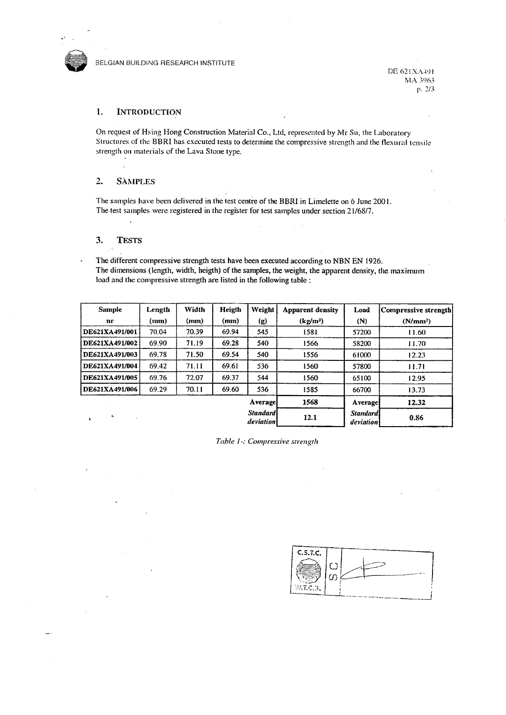

DE 621XA491 MA 3963 p. 2/3

## 1. **INTRODUCTION**

On request of Hsing Hong Construction Material Co., Ltd, represented by Mr Su, the Laboratory Structures of the BBRI has executed tests to determine the compressive strength and the flexural tensile strength on materials of the Lava Stone type.

## $2.$ **SAMPLES**

The samples have been delivered in the test centre of the BBRI in Limelette on 6 June 2001. The test samples were registered in the register for test samples under section 21/68/7.

## $3.$ **TESTS**

The different compressive strength tests have been executed according to NBN EN 1926. The dimensions (length, width, heigth) of the samples, the weight, the apparent density, the maximum load and the compressive strength are listed in the following table :

| Sample         | Length | Width | Heigth | Weight                       | <b>Apparent density</b> | Load                         | Compressive strength! |  |
|----------------|--------|-------|--------|------------------------------|-------------------------|------------------------------|-----------------------|--|
| nr             | (mm)   | (mm)  | (mm)   | (g)                          | (kg/m <sup>3</sup> )    | (N)                          | (N/mm <sup>2</sup> )  |  |
| DE621XA491/001 | 70.04  | 70.39 | 69.94  | 545                          | 1581                    | 57200                        | 11.60                 |  |
| DE621XA491/002 | 69.90  | 71.19 | 69.28  | 540                          | 1566                    | 58200                        | 11.70                 |  |
| DE621XA491/003 | 69.78  | 71.50 | 69.54  | 540                          | 1556                    | 61000                        | 12.23                 |  |
| DE621XA491/004 | 69.42  | 71.11 | 69.61  | 536                          | 1560                    | 57800                        | 11.71                 |  |
| DE621XA491/005 | 69.76  | 72.07 | 69.37  | 544                          | 1560                    | 65100                        | 12.95                 |  |
| DE621XA491/006 | 69.29  | 70.11 | 69.60  | 536                          | 1585                    | 66700                        | 13.73                 |  |
|                |        |       |        | <b>Average</b>               | 1568                    | Average                      | 12.32                 |  |
| ۰,             |        |       |        | <b>Standard</b><br>deviation | 12.1                    | <b>Standard</b><br>deviation | 0.86                  |  |

Table 1 -: Compressive strength

| C.5.7.C. |      |  |
|----------|------|--|
|          | ی ہے |  |
| W.LC.B.  |      |  |
|          |      |  |